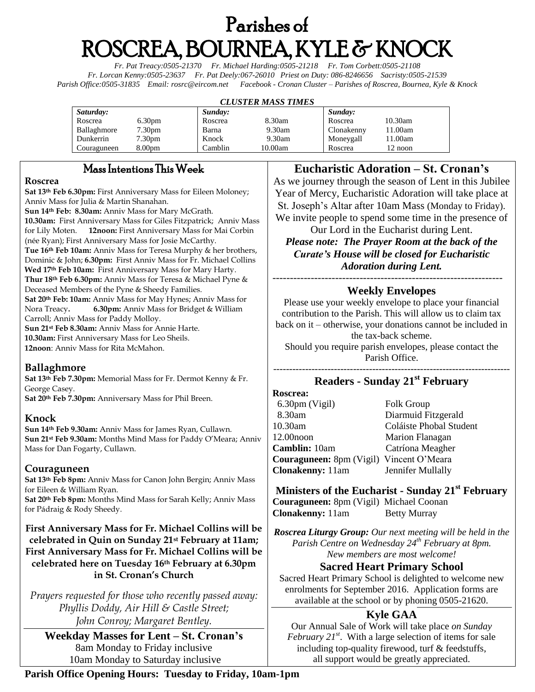# Parishes of ROSCREA, BOURNEA, KYLE & KNOCK

*Fr. Pat Treacy:0505-21370 Fr. Michael Harding:0505-21218 Fr. Tom Corbett:0505-21108 Fr. Lorcan Kenny:0505-23637 Fr. Pat Deely:067-26010 Priest on Duty: 086-8246656 Sacristy:0505-21539 Parish Office:0505-31835 Email: [rosrc@eircom.net](mailto:rosrc@eircom.net) Facebook - Cronan Cluster – Parishes of Roscrea, Bournea, Kyle & Knock*

#### *CLUSTER MASS TIMES*

| Saturday:   |                    | Sunday: |         | Sunday:    |         |
|-------------|--------------------|---------|---------|------------|---------|
| Roscrea     | 6.30 <sub>pm</sub> | Roscrea | 8.30am  | Roscrea    | 10.30am |
| Ballaghmore | 7.30pm             | Barna   | 9.30am  | Clonakenny | 11.00am |
| Dunkerrin   | 7.30 <sub>pm</sub> | Knock   | 9.30am  | Moneygall  | 11.00am |
| Couraguneen | 8.00 <sub>pm</sub> | Camblin | 10.00am | Roscrea    | 12 noon |

# Mass Intentions This Week

#### **Roscrea**

**Sat 13th Feb 6.30pm:** First Anniversary Mass for Eileen Moloney; Anniv Mass for Julia & Martin Shanahan. **Sun 14th Feb: 8.30am:** Anniv Mass for Mary McGrath.

**10.30am:** First Anniversary Mass for Giles Fitzpatrick; Anniv Mass for Lily Moten. **12noon:** First Anniversary Mass for Mai Corbin (née Ryan); First Anniversary Mass for Josie McCarthy. **Tue 16th Feb 10am:** Anniv Mass for Teresa Murphy & her brothers, Dominic & John; **6.30pm:** First Anniv Mass for Fr. Michael Collins **Wed 17th Feb 10am:** First Anniversary Mass for Mary Harty. **Thur 18th Feb 6.30pm:** Anniv Mass for Teresa & Michael Pyne & Deceased Members of the Pyne & Sheedy Families. **Sat 20th Feb: 10am:** Anniv Mass for May Hynes; Anniv Mass for Nora Treacy**. 6.30pm:** Anniv Mass for Bridget & William

Carroll; Anniv Mass for Paddy Molloy.

**Sun 21st Feb 8.30am:** Anniv Mass for Annie Harte. **10.30am:** First Anniversary Mass for Leo Sheils.

**12noon**: Anniv Mass for Rita McMahon.

## **Ballaghmore**

**Sat 13th Feb 7.30pm:** Memorial Mass for Fr. Dermot Kenny & Fr. George Casey. **Sat 20th Feb 7.30pm:** Anniversary Mass for Phil Breen.

## **Knock**

**Sun 14th Feb 9.30am:** Anniv Mass for James Ryan, Cullawn. **Sun 21st Feb 9.30am:** Months Mind Mass for Paddy O'Meara; Anniv Mass for Dan Fogarty, Cullawn.

#### **Couraguneen**

**Sat 13th Feb 8pm:** Anniv Mass for Canon John Bergin; Anniv Mass for Eileen & William Ryan.

**Sat 20th Feb 8pm:** Months Mind Mass for Sarah Kelly; Anniv Mass for Pádraig & Rody Sheedy.

**First Anniversary Mass for Fr. Michael Collins will be celebrated in Quin on Sunday 21st February at 11am; First Anniversary Mass for Fr. Michael Collins will be celebrated here on Tuesday 16th February at 6.30pm in St. Cronan's Church**

*Prayers requested for those who recently passed away: Phyllis Doddy, Air Hill & Castle Street; John Conroy; Margaret Bentley.*

**Weekday Masses for Lent – St. Cronan's** 8am Monday to Friday inclusive 10am Monday to Saturday inclusive

## **Eucharistic Adoration – St. Cronan's**

As we journey through the season of Lent in this Jubilee Year of Mercy, Eucharistic Adoration will take place at St. Joseph's Altar after 10am Mass (Monday to Friday). We invite people to spend some time in the presence of

Our Lord in the Eucharist during Lent. *Please note: The Prayer Room at the back of the Curate's House will be closed for Eucharistic Adoration during Lent.*

#### ------------------------------------------------------------------ **Weekly Envelopes**

Please use your weekly envelope to place your financial contribution to the Parish. This will allow us to claim tax back on it – otherwise, your donations cannot be included in the tax-back scheme. Should you require parish envelopes, please contact the

Parish Office.

#### -------------------------------------------------------------------------- **Readers - Sunday 21st February**

| Roscrea:                                 |                         |
|------------------------------------------|-------------------------|
| $6.30 \text{pm}$ (Vigil)                 | <b>Folk Group</b>       |
| 8.30am                                   | Diarmuid Fitzgerald     |
| $10.30$ am                               | Coláiste Phobal Student |
| 12.00 <sub>noon</sub>                    | Marion Flanagan         |
| Camblin: 10am                            | Catríona Meagher        |
| Couraguneen: 8pm (Vigil) Vincent O'Meara |                         |
| <b>Clonakenny:</b> 11am                  | Jennifer Mullally       |
|                                          |                         |

**Ministers of the Eucharist - Sunday 21st February Couraguneen:** 8pm (Vigil) Michael Coonan **Clonakenny:** 11am Betty Murray

*Roscrea Liturgy Group: Our next meeting will be held in the Parish Centre on Wednesday 24th February at 8pm. New members are most welcome!*

**Sacred Heart Primary School**

Sacred Heart Primary School is delighted to welcome new enrolments for September 2016. Application forms are available at the school or by phoning 0505-21620.

# **Kyle GAA**

Our Annual Sale of Work will take place *on Sunday February*  $21^{st}$ . With a large selection of items for sale including top-quality firewood, turf & feedstuffs, all support would be greatly appreciated.

**Parish Office Opening Hours: Tuesday to Friday, 10am-1pm**